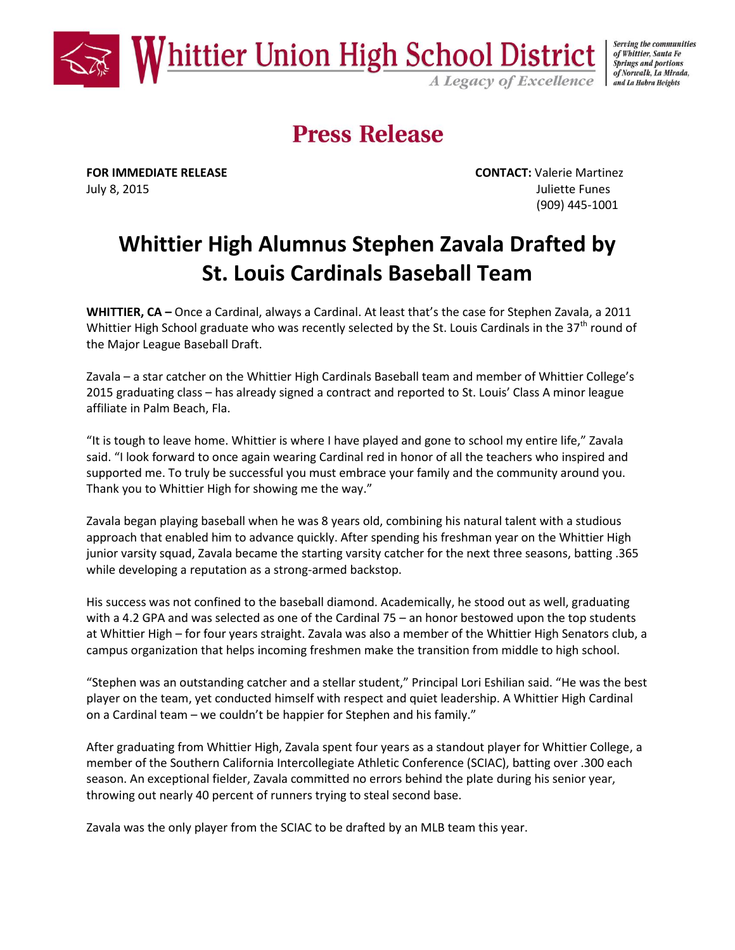

Serving the communities of Whittier, Santa Fe **Springs and portions** of Norwalk, La Mirada, and La Habra Heights

**Press Release** 

July 8, 2015 Juliette Funes

**FOR IMMEDIATE RELEASE CONTACT:** Valerie Martinez (909) 445-1001

# **Whittier High Alumnus Stephen Zavala Drafted by St. Louis Cardinals Baseball Team**

**WHITTIER, CA –** Once a Cardinal, always a Cardinal. At least that's the case for Stephen Zavala, a 2011 Whittier High School graduate who was recently selected by the St. Louis Cardinals in the 37<sup>th</sup> round of the Major League Baseball Draft.

Zavala – a star catcher on the Whittier High Cardinals Baseball team and member of Whittier College's 2015 graduating class – has already signed a contract and reported to St. Louis' Class A minor league affiliate in Palm Beach, Fla.

"It is tough to leave home. Whittier is where I have played and gone to school my entire life," Zavala said. "I look forward to once again wearing Cardinal red in honor of all the teachers who inspired and supported me. To truly be successful you must embrace your family and the community around you. Thank you to Whittier High for showing me the way."

Zavala began playing baseball when he was 8 years old, combining his natural talent with a studious approach that enabled him to advance quickly. After spending his freshman year on the Whittier High junior varsity squad, Zavala became the starting varsity catcher for the next three seasons, batting .365 while developing a reputation as a strong-armed backstop.

His success was not confined to the baseball diamond. Academically, he stood out as well, graduating with a 4.2 GPA and was selected as one of the Cardinal 75 – an honor bestowed upon the top students at Whittier High – for four years straight. Zavala was also a member of the Whittier High Senators club, a campus organization that helps incoming freshmen make the transition from middle to high school.

"Stephen was an outstanding catcher and a stellar student," Principal Lori Eshilian said. "He was the best player on the team, yet conducted himself with respect and quiet leadership. A Whittier High Cardinal on a Cardinal team – we couldn't be happier for Stephen and his family."

After graduating from Whittier High, Zavala spent four years as a standout player for Whittier College, a member of the Southern California Intercollegiate Athletic Conference (SCIAC), batting over .300 each season. An exceptional fielder, Zavala committed no errors behind the plate during his senior year, throwing out nearly 40 percent of runners trying to steal second base.

Zavala was the only player from the SCIAC to be drafted by an MLB team this year.